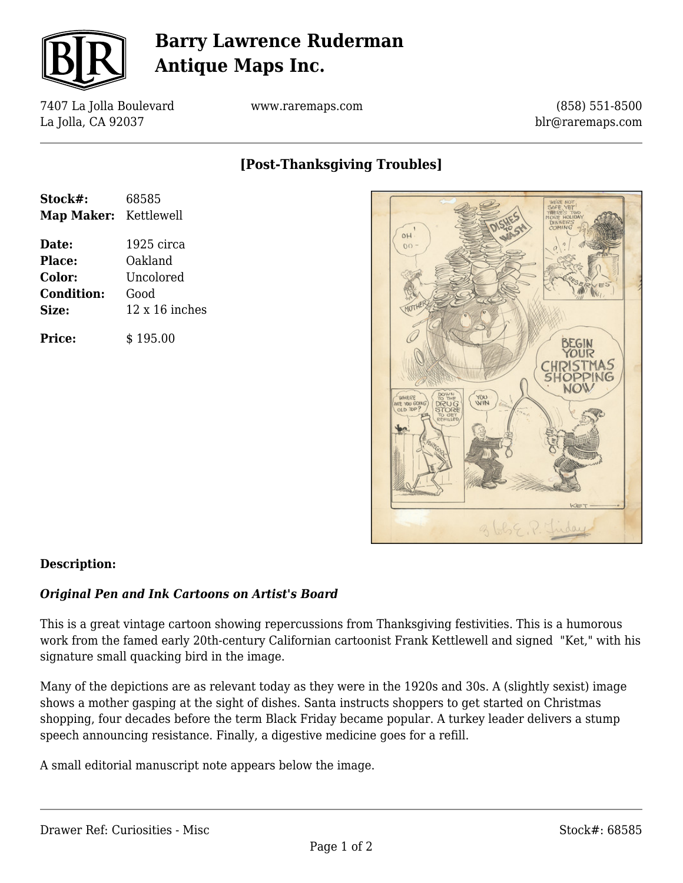

## **Barry Lawrence Ruderman Antique Maps Inc.**

7407 La Jolla Boulevard La Jolla, CA 92037

www.raremaps.com

(858) 551-8500 blr@raremaps.com

## **[Post-Thanksgiving Troubles]**

| Stock#:               | 68585                 |
|-----------------------|-----------------------|
| Map Maker: Kettlewell |                       |
| Date:                 | 1925 circa            |
| <b>Place:</b>         | Oakland               |
| Color:                | Uncolored             |
| <b>Condition:</b>     | Good                  |
| Size:                 | $12 \times 16$ inches |
| Price:                | \$195.00              |



### **Description:**

#### *Original Pen and Ink Cartoons on Artist's Board*

This is a great vintage cartoon showing repercussions from Thanksgiving festivities. This is a humorous work from the famed early 20th-century Californian cartoonist Frank Kettlewell and signed "Ket," with his signature small quacking bird in the image.

Many of the depictions are as relevant today as they were in the 1920s and 30s. A (slightly sexist) image shows a mother gasping at the sight of dishes. Santa instructs shoppers to get started on Christmas shopping, four decades before the term Black Friday became popular. A turkey leader delivers a stump speech announcing resistance. Finally, a digestive medicine goes for a refill.

A small editorial manuscript note appears below the image.